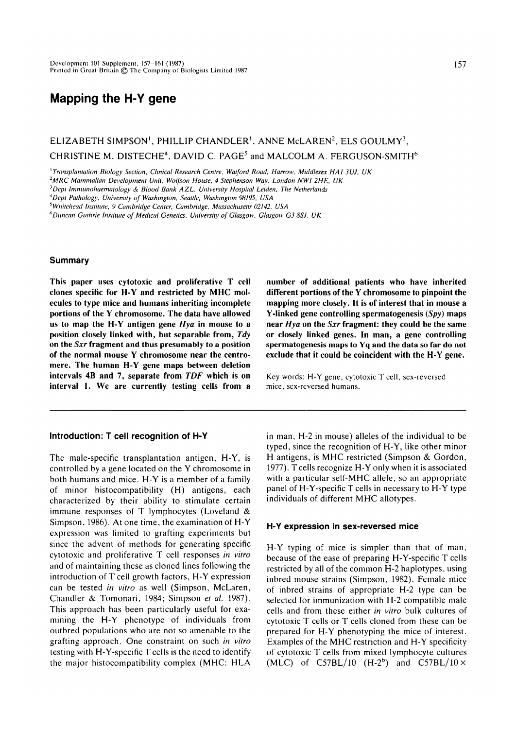# **Mapping the H-Y gene**

## $\mathsf{ELIZABETH}\; \mathsf{SIMPSON}^{\mathsf{1}}, \; \mathsf{PHILLIP}\; \mathsf{CHANDLER}^{\mathsf{1}}, \; \mathsf{ANNE}\; \mathsf{McLAREN}^{\mathsf{2}}, \; \mathsf{ELS}\; \mathsf{GOLLMY}^{\mathsf{3}},$ CHRISTINE M. DISTECHE<sup>4</sup>, DAVID C. PAGE<sup>5</sup> and MALCOLM A. FERGUSON-SMITH $^6$

*'Transplantation Biology Section, Clinical Research Centre, Watford Road, Harrow, Middlesex HA1 3UJ, UK*

*2 MRC Mammalian Development Unit, Wolfson House, 4 Stephenson Way, London NWI 2HE, UK*

*^Dcpl Imnuinohaemaiology & Blood Bank AZL, University Hospital Leiden, The Netherlands*

*4 Depl Pathology, University of Washington, Seattle, Washington 98195, USA*

*''Duncan Gulhrie Institute of Medical Genetics, University of Glasgow. Glasgow G3 SSJ, UK*

## **Summary**

**This paper uses cytotoxic and proliferative T cell clones specific for H-Y and restricted by MHC molecules to type mice and humans inheriting incomplete portions of the Y chromosome. The data have allowed us to map the H-Y antigen gene** *Hya* **in mouse to a position closely linked with, but separable from,** *Tdy* **on the** *Sxr* **fragment and thus presumably to a position of the normal mouse Y chromosome near the centromere. The human H-Y gene maps between deletion intervals 4B and 7, separate from** *TDF* **which is on interval 1. We are currently testing cells from a**

## **Introduction: T cell recognition of H-Y**

The male-specific transplantation antigen, H-Y, is controlled by a gene located on the Y chromosome in both humans and mice. H-Y is a member of a family of minor histocompatibility (H) antigens, each characterized by their ability to stimulate certain immune responses of T lymphocytes (Loveland & Simpson, 1986). At one time, the examination of H-Y expression was limited to grafting experiments but since the advent of methods for generating specific cytotoxic and proliferative T cell responses *in vitro* and of maintaining these as cloned lines following the introduction of T cell growth factors, H-Y expression can be tested *in vitro* as well (Simpson, McLaren, Chandler & Tomonari, 1984; Simpson *et al.* 1987). This approach has been particularly useful for examining the H-Y phenotype of individuals from outbred populations who are not so amenable to the grafting approach. One constraint on such *in vitro* testing with H-Y-specific T cells is the need to identify the major histocompatibility complex (MHC: HLA

**number of additional patients who have inherited different portions of the Y chromosome to pinpoint the mapping more closely. It is of interest that in mouse a Y-linked gene controlling spermatogenesis** *{Spy)* **maps near** *Hya* **on the** *Sxr* **fragment: they could be the same or closely linked genes. In man, a gene controlling spermatogenesis maps to Yq and the data so far do not exclude that it could be coincident with the H-Y gene.**

Key words: H-Y gene, cytotoxic T cell, sex-reversed mice, sex-reversed humans.

in man, H-2 in mouse) alleles of the individual to be typed, since the recognition of H-Y, like other minor H antigens, is MHC restricted (Simpson & Gordon, 1977). T cells recognize H-Y only when it is associated with a particular self-MHC allele, so an appropriate panel of H-Y-specific T cells in necessary to H-Y type individuals of different MHC allotypes.

#### **H-Y expression in sex-reversed mice**

H-Y typing of mice is simpler than that of man, because of the ease of preparing H-Y-specific T cells restricted by all of the common H-2 haplotypes, using inbred mouse strains (Simpson, 1982). Female mice of inbred strains of appropriate H-2 type can be selected for immunization with H-2 compatible male cells and from these either *in vitro* bulk cultures of cytotoxic T cells or T cells cloned from these can be prepared for H-Y phenotyping the mice of interest. Examples of the MHC restriction and H-Y specificity of cytotoxic T cells from mixed lymphocyte cultures  $(MLC)$  of C57BL/10  $(H-2^b)$  and C57BL/10  $\times$ 

*<sup>^</sup>Whitehead Institute, 9 Cambridge Center, Cambridge, Massachusetts 02142, USA*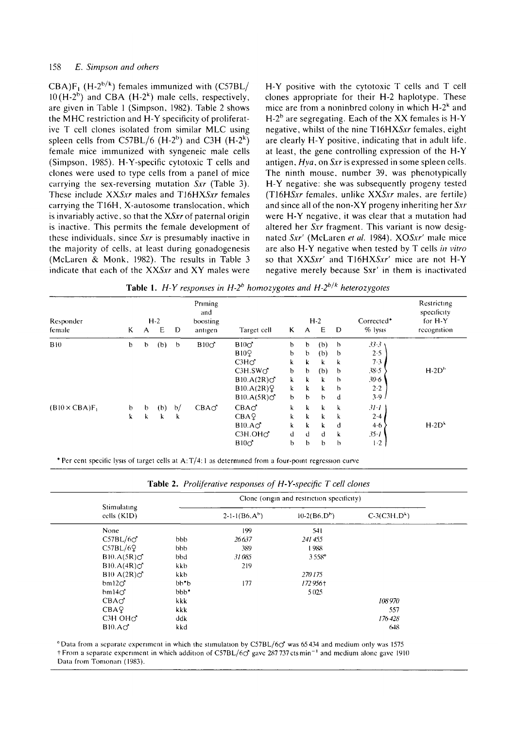$CBA$ )F<sub>1</sub> (H-2<sup>b/k</sup>) females immunized with (C57BL/  $10(H-2<sup>b</sup>)$  and CBA (H-2<sup>k</sup>) male cells, respectively, are given in Table J (Simpson, 1982). Table 2 shows the MHC restriction and H-Y specificity of proliferative T cell clones isolated from similar MLC using spleen cells from C57BL/6 (H-2<sup>b</sup>) and C3H (H-2<sup>k</sup>) female mice immunized with syngeneic male cells (Simpson, 1985). H-Y-specific cytotoxic T cells and clones were used to type cells from a panel of mice carrying the sex-reversing mutation  $S_{\mathcal{X}}$  (Table 3). These include  $XXSxr$  males and  $T16HXXSxr$  females carrying the T16H, X-autosome translocation, which is invariably active, so that the *XSxr* of paternal origin is inactive. This permits the female development of these individuals, since  $S_{XY}$  is presumably inactive in the majority of cells, at least during gonadogenesis (McLaren & Monk, 1982). The results in Table 3 indicate that each of the *XXSxr* and XY males were

H-Y positive with the cytotoxic T cells and T cell clones appropriate for their H-2 haplotype. These mice are from a noninbred colony in which  $H-2^k$  and H-2 $^{\rm b}$  are segregating. Each of the XX females is H-Y negative, whilst of the nine T16HXSxr females, eight are clearly H-Y positive, indicating that in adult life, at least, the gene controlling expression of the H-Y antigen, *Hya,* on *Sxr* is expressed in some spleen cells. The ninth mouse, number 39, was phenotypically H-Y negative: she was subsequently progeny tested (T16HSAT females, unlike *XXSxr* males, are fertile) and since all of the non-XY progeny inheriting her *Sxr* were H-Y negative, it was clear that a mutation had altered her Sxr fragment. This variant is now designated Sxr' (McLaren et al. 1984). XOSxr' male mice are also H-Y negative when tested by T cells *in vitro* so that XXSxr' and T16HXSxr' mice are not H-Y negative merely because Sxr' in them is inactivated

| Responder<br>female | K           | A           | $H-2$<br>E | D           | Priming<br>and<br>boosting<br>antigen | Target cell          | K | A           | $H-2$<br>E | Corrected*<br>% lysis | Restricting<br>specificity<br>for H-Y<br>recognition |           |
|---------------------|-------------|-------------|------------|-------------|---------------------------------------|----------------------|---|-------------|------------|-----------------------|------------------------------------------------------|-----------|
| B10                 | $\mathbf b$ | b           | (b)        | $\mathbf b$ | B10 <sub>o</sub>                      | B10 <sub>O</sub>     | b | b           | (b)        | $\mathbf b$           | 33.3                                                 |           |
|                     |             |             |            |             |                                       | <b>B109</b>          | b | b           | (b)        | b                     | 2.5                                                  |           |
|                     |             |             |            |             |                                       | C3H <sub>O</sub>     | k | k.          | k          | k                     | 7.3                                                  |           |
|                     |             |             |            |             |                                       | C3H.SW <sub>O</sub>  | b | $\mathbf b$ | (b)        | $\mathbf b$           | 38.5                                                 | $H-2Dh$   |
|                     |             |             |            |             |                                       | $B10.A(2R)$ $\sigma$ | k | k           | k          | $\mathfrak b$         | 30.6                                                 |           |
|                     |             |             |            |             |                                       | B10.A(2R)Q           | k | $\bf k$     | k          | $\mathbf b$           | 2.2                                                  |           |
|                     |             |             |            |             |                                       | $B10.A(5R)$ $\sigma$ | b | $\mathbf b$ | b          | d                     | 3.9 <sub>1</sub>                                     |           |
| $(B10 \times CBA)F$ | $\mathbf b$ | $\mathbf b$ | (b)        | b/          | CBAO                                  | CBA <sub>O</sub>     | k | k           | k          | k                     | 31·1                                                 |           |
|                     | k           | k           | k          | k           |                                       | CBA9                 | k | k           | k          | k                     | $2 - 4$                                              |           |
|                     |             |             |            |             |                                       | B10.A <sub>O</sub>   | k | k           | k          | đ                     | 4.6                                                  | $H - 2Dk$ |
|                     |             |             |            |             |                                       | C3H.OHO              | d | d           | d          | k                     | $35 - I$                                             |           |
|                     |             |             |            |             |                                       | B10 <sub>O</sub>     | b | b           | b          | $\mathfrak b$         | $1-2$                                                |           |

**Table 1.** *H-Y responses in H-2b homozygotes and H-2b ^ k heterozygotes*

\* Per cent specific lysis of target cells at A:  $T/4$ : 1 as determined from a four-point regression curve

**Table** 2. *Proliferative responses of H-Y-specific T cell clones*

|                                  |                                          |                 | Clone (origin and restriction specificity) |               |  |
|----------------------------------|------------------------------------------|-----------------|--------------------------------------------|---------------|--|
| Stimulating<br>cells (KID)       |                                          | $2-1-1(B6,A^h)$ | $10-2(B6,D^b)$                             | $C-3(C3H,Dk)$ |  |
| None                             |                                          | 199             | 541                                        |               |  |
| C57BL/6C                         | <b>bbb</b>                               | 26637           | 241 455                                    |               |  |
| C57BL/6Q                         | <b>b</b> bb                              | 389             | 1988                                       |               |  |
|                                  | $B10.A(5R)$ $\sigma$<br>bbd              | 31 085          | $3558^\circ$                               |               |  |
|                                  | $B10.A(4R)$ $\circ$ <sup>2</sup><br>kkb. | 219             |                                            |               |  |
|                                  | B10 A(2R)<br>kkb.                        |                 | 270175                                     |               |  |
| bm 120                           | $b b^* b$                                | 177             | 172956+                                    |               |  |
| $bm4\sigma$                      | $bbb$ <sup>*</sup>                       |                 | 5025                                       |               |  |
| CBA <sub>O</sub>                 | kkk.                                     |                 |                                            | 108970        |  |
| CBA9                             | kkk.                                     |                 |                                            | 557           |  |
| C <sub>3</sub> H OH <sub>O</sub> | ddk                                      |                 |                                            | 176 428       |  |
| B10.A <sub>0</sub>               | kkd                                      |                 |                                            | 648           |  |

 $^{\circ}$  Data from a separate experiment in which the stimulation by C57BL/6 $\sigma$ <sup>2</sup> was 65 434 and medium only was 1575 t From a separate experiment in which addition of C57BL/6C? gave 287 737ctsmin~' and medium alone gave 1910 Data from Tomonan (1983).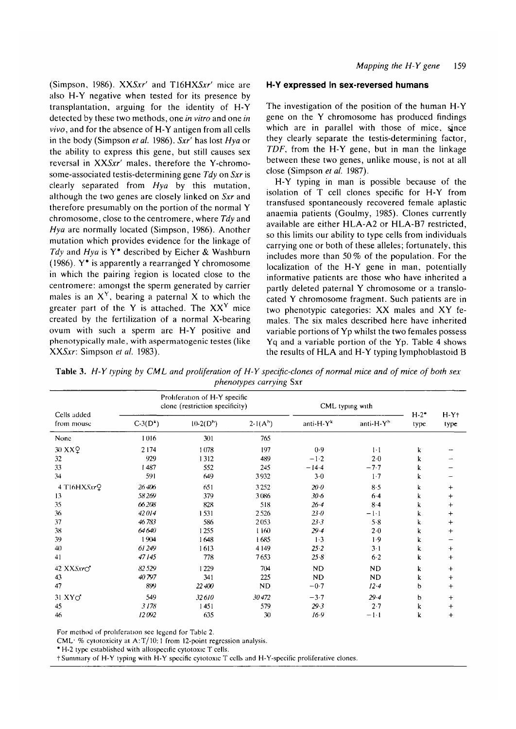(Simpson, 1986). *XXSxr'* and *T16HXSxr'* mice are also H-Y negative when tested for its presence by transplantation, arguing for the identity of H-Y detected by these two methods, one *in vitro* and one *in vivo,* and for the absence of H-Y antigen from all cells in the body (Simpson *et al.* 1986). *Sxr'* has lost *Hya* or the ability to express this gene, but still causes sex reversal in *XXSxr'* males, therefore the Y-chromosome-associated testis-determining gene *Tdy* on *Sxr* is clearly separated from *Hya* by this mutation, although the two genes are closely linked on *Sxr* and therefore presumably on the portion of the normal Y chromosome, close to the centromere, where *Tdy* and *Hya* are normally located (Simpson, 1986). Another mutation which provides evidence for the linkage of *Tdy* and *Hya* is Y\* described by Eicher & Washburn (1986).  $Y^*$  is apparently a rearranged Y chromosome in which the pairing region is located close to the centromere: amongst the sperm generated by carrier males is an  $X<sup>Y</sup>$ , bearing a paternal X to which the greater part of the Y is attached. The  $XX<sup>Y</sup>$  mice created by the fertilization of a normal X-bearing ovum with such a sperm are H-Y positive and phenotypically male, with aspermatogenic testes (like XX5AT: Simpson *et al.* 1983).

#### **H-Y expressed In sex-reversed humans**

The investigation of the position of the human H-Y gene on the Y chromosome has produced findings which are in parallel with those of mice, since they clearly separate the testis-determining factor, *TDF,* from the H-Y gene, but in man the linkage between these two genes, unlike mouse, is not at all close (Simpson *et al.* 1987).

H-Y typing in man is possible because of the isolation of T cell clones specific for H-Y from transfused spontaneously recovered female aplastic anaemia patients (Goulmy, 1985). Clones currently available are either HLA-A2 or HLA-B7 restricted, so this limits our ability to type cells from individuals carrying one or both of these alleles; fortunately, this includes more than 50% of the population. For the localization of the H-Y gene in man, potentially informative patients are those who have inherited a partly deleted paternal Y chromosome or a translocated Y chromosome fragment. Such patients are in two phenotypic categories: XX males and XY females. The six males described here have inherited variable portions of Yp whilst the two females possess Yq and a variable portion of the Yp. Table 4 shows the results of HLA and H-Y typing lymphoblastoid B

|  |  | Table 3. H-Y typing by CML and proliferation of H-Y specific-clones of normal mice and of mice of both sex |  |                                |  |  |  |  |  |
|--|--|------------------------------------------------------------------------------------------------------------|--|--------------------------------|--|--|--|--|--|
|  |  |                                                                                                            |  | <i>phenotypes carrying</i> Sxr |  |  |  |  |  |

| Cells added      |            | Proliferation of H-Y specific<br>clone (restriction specificity) |            | CML typing with       |                       |                   |                   |
|------------------|------------|------------------------------------------------------------------|------------|-----------------------|-----------------------|-------------------|-------------------|
| from mouse       | $C-3(D^k)$ | $10-2(D^{\rm h})$                                                | $2-1(A^b)$ | anti-H-Y <sup>k</sup> | anti-H-Y <sup>b</sup> | $H - 2^*$<br>type | $H - Y$ †<br>type |
| None             | 1016       | 301                                                              | 765        |                       |                       |                   |                   |
| 30 XXQ           | 2174       | 1078                                                             | 197        | 0.9                   | $1-1$                 | k                 |                   |
| 32               | 929        | 1312                                                             | 489        | $-1.2$                | 2.0                   | k                 |                   |
| 33               | l 487      | 552                                                              | 245        | $-14.4$               | $-7.7$                | k                 |                   |
| 34               | 591        | 649                                                              | 3932       | $3 - 0$               | $1-7$                 | k                 |                   |
| 4 T16HXSxrQ      | 26406      | 651                                                              | 3252       | 20.0                  | 8.5                   | k                 | $\div$            |
| 13               | 58269      | 379                                                              | 3086       | $30 - 6$              | $6 - 4$               | k                 | $\ddot{}$         |
| 35               | 66208      | 828                                                              | 518        | $26 - 4$              | $8-4$                 | k                 | $\pm$             |
| 36               | 42014      | 1531                                                             | 2526       | 23.0                  | $-1-1$                | k                 | $\ddag$           |
| 37               | 46783      | 586                                                              | 2053       | 23.3                  | 5.8                   | k                 | $\,{}^+$          |
| 38               | 64640      | 1255                                                             | 1160       | $29 - 4$              | $2 - 0$               | k                 | $\ddot{}$         |
| 39               | 1904       | 1648                                                             | 1685       | $1-3$                 | 1.9                   | k                 |                   |
| 40               | 61 249     | 1613                                                             | 4 1 4 9    | 25.2                  | $3 - 1$               | k                 | $+$               |
| 41               | 47145      | 778                                                              | 7653       | 25.8                  | $6-2$                 | k                 | $\ddot{}$         |
| 42 XXSxrO        | 82529      | 1229                                                             | 704        | ND                    | <b>ND</b>             | k                 | $\ddot{}$         |
| 43               | 40797      | 341                                                              | 225        | <b>ND</b>             | <b>ND</b>             | k                 | $\ddot{}$         |
| 47               | 899        | 22 400                                                           | <b>ND</b>  | $-0.7$                | 12.4                  | b                 | $+$               |
| $31$ XY $\sigma$ | 549        | 32610                                                            | 30472      | $-3.7$                | 29.4                  | b                 | $\ddot{}$         |
| 45               | 3178       | 1451                                                             | 579        | 29.3                  | 2.7                   | k                 | $\ddot{}$         |
| 46               | 12092      | 635                                                              | 30         | 16.9                  | $-1-1$                | k                 | $\ddot{}$         |

For method of proliferation see legend for Table 2.

CML: % cytotoxicity at A:  $T/10$ : 1 from 12-point regression analysis.

\* H-2 type established with allospecific cytotoxic T cells.

t Summary of H-Y typing with H-Y specific cytotoxic T cells and H-Y-specific proliferative clones.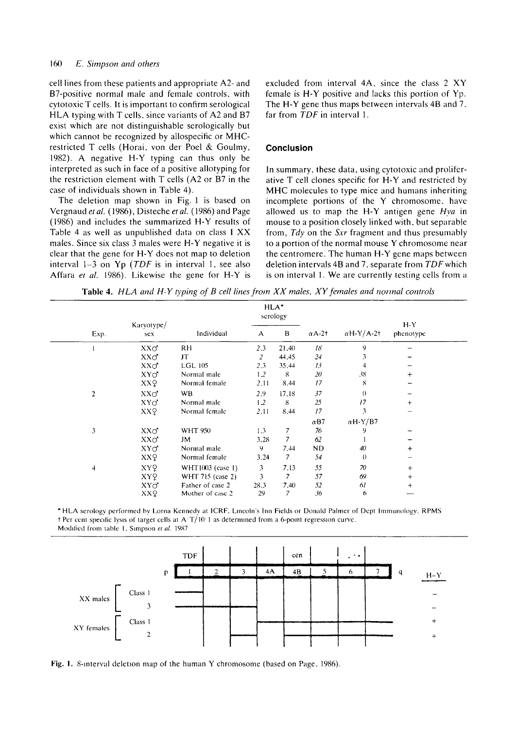## 160 *E. Simpson and others*

cell lines from these patients and appropriate A2- and B7-positive normal male and female controls, with cytotoxic T cells. It is important to confirm serological HLA typing with T cells, since variants of A2 and B7 exist which are not distinguishable serologically but which cannot be recognized by allospecific or MHCrestricted T cells (Horai, von der Poel & Goulmy, 1982). A negative H-Y typing can thus only be interpreted as such in face of a positive allotyping for the restriction element with T cells (A2 or B7 in the case of individuals shown in Table 4).

The deletion map shown in Fig. 1 is based on Vergnaud et al. (1986), Disteche et al. (1986) and Page (1986) and includes the summarized H-Y results of Table 4 as well as unpublished data on class I XX males. Since six class 3 males were H-Y negative it is clear that the gene for H-Y does not map to deletion interval 1-3 on Yp *(TDF* is in interval 1, see also Affara *et al.* 1986). Likewise the gene for H-Y is excluded from interval 4A, since the class 2 XY female is H-Y positive and lacks this portion of Yp. The H-Y gene thus maps between intervals 4B and 7, far from *TDF* in interval 1.

## **Conclusion**

In summary, these data, using cytotoxic and proliferative T cell clones specific for H-Y and restricted by MHC molecules to type mice and humans inheriting incomplete portions of the Y chromosome, have allowed us to map the H-Y antigen gene *Hya* in mouse to a position closely linked with, but separable from, *Tdy* on the *Sxr* fragment and thus presumably to a portion of the normal mouse Y chromosome near the centromere. The human H-Y gene maps between deletion intervals 4B and 7, separate from TDFwhich is on interval 1. We are currently testing cells from a

**Table 4.** *HLA and H-Y typing of B cell lines from XX males, XY females and normal controls*

|                |                   |                  |                | HLA <sup>*</sup><br>scrology |               |                   |                      |
|----------------|-------------------|------------------|----------------|------------------------------|---------------|-------------------|----------------------|
| Exp.           | Karyotype/<br>sex | Individual       | A              | B                            | $\alpha$ A-2† | $\alpha$ H-Y/A-2+ | $H - Y$<br>phenotype |
|                | $XX\sigma$        | RH.              | 2.3            | 21,40                        | 18            | 9                 |                      |
|                | $XX\sigma$        | JT               | $\overline{2}$ | 44,45                        | 24            | 3                 |                      |
|                | $XX\sigma$        | <b>LGL 105</b>   | 2,3            | 35,44                        | 13            |                   |                      |
|                | $XY\sigma$        | Normal male      | 1.2            | -8                           | 20            | 38                | $^{+}$               |
|                | XXQ               | Normal female    | 2,11           | 8,44                         | 17            | 8                 |                      |
| 2              | $XX\sigma$        | <b>WB</b>        | 2.9            | 17.18                        | 37            | $\theta$          |                      |
|                | $XY\sigma$        | Normal male      | 1.2            | 8                            | 25            | 17                | $^{+}$               |
|                | XXQ               | Normal female    | 2.11           | 8,44                         | 17            | 3                 |                      |
|                |                   |                  |                |                              | $\alpha$ B7   | $\alpha$ H-Y/B7   |                      |
| 3              | $XX\sigma$        | <b>WHT 950</b>   | 1.3            | $\overline{7}$               | 76            | 9                 |                      |
|                | $XX\sigma$        | JM               | 3,28           | 7                            | 62            |                   |                      |
|                | $XY\sigma$        | Normal male      | 9.             | 7,44                         | ND            | 40                | $\ddot{}$            |
|                | XXQ               | Normal female    | 3,24           | 7                            | 54            | $\theta$          |                      |
| $\overline{4}$ | XYQ               | WHT1003 (case 1) | 3              | 7,13                         | 55            | 70                | $+$                  |
|                | XYQ               | WHT 715 (case 2) | 3              | $\overline{\phantom{a}}$     | 57            | 69                | $+$                  |
|                | $XY\sigma$        | Father of case 2 | 28.3           | 7,40                         | 52            | 61                | $\div$               |
|                | XXQ               | Mother of case 2 | 29             | $\overline{7}$               | 36            | 6                 |                      |

\* HLA serology performed by Lorna Kennedy at ICRF, Lincoln's Inn Fields or Donald Palmer of Dcpt Immunology. RPMS  $t$  Per cent specific lysis of target cells at A $T/10$  1 as determined from a 6-point regression curve. Modified from table 1, Simpson *et al.* 1987



Fig. 1. 8-interval deletion map of the human Y chromosome (based on Page, 1986).